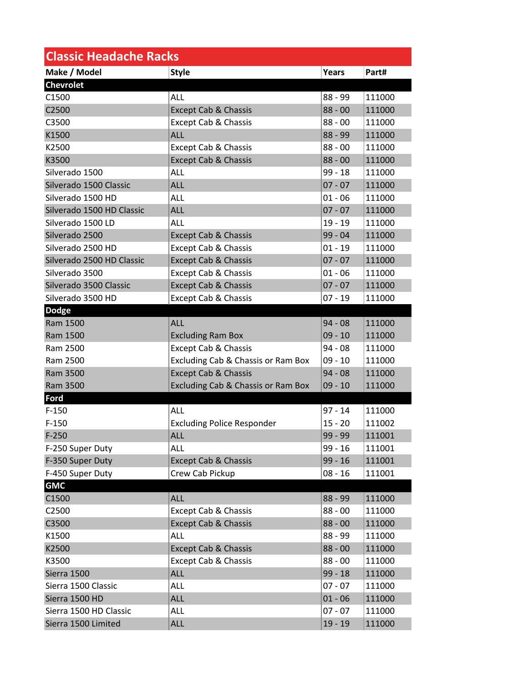| <b>Classic Headache Racks</b> |                                    |           |        |  |
|-------------------------------|------------------------------------|-----------|--------|--|
| Make / Model                  | <b>Style</b>                       | Years     | Part#  |  |
| <b>Chevrolet</b>              |                                    |           |        |  |
| C1500                         | ALL                                | 88 - 99   | 111000 |  |
| C2500                         | <b>Except Cab &amp; Chassis</b>    | $88 - 00$ | 111000 |  |
| C3500                         | <b>Except Cab &amp; Chassis</b>    | $88 - 00$ | 111000 |  |
| K1500                         | ALL                                | $88 - 99$ | 111000 |  |
| K2500                         | Except Cab & Chassis               | $88 - 00$ | 111000 |  |
| K3500                         | <b>Except Cab &amp; Chassis</b>    | $88 - 00$ | 111000 |  |
| Silverado 1500                | ALL                                | $99 - 18$ | 111000 |  |
| Silverado 1500 Classic        | <b>ALL</b>                         | $07 - 07$ | 111000 |  |
| Silverado 1500 HD             | ALL                                | $01 - 06$ | 111000 |  |
| Silverado 1500 HD Classic     | <b>ALL</b>                         | $07 - 07$ | 111000 |  |
| Silverado 1500 LD             | ALL                                | $19 - 19$ | 111000 |  |
| Silverado 2500                | <b>Except Cab &amp; Chassis</b>    | 99 - 04   | 111000 |  |
| Silverado 2500 HD             | Except Cab & Chassis               | $01 - 19$ | 111000 |  |
| Silverado 2500 HD Classic     | <b>Except Cab &amp; Chassis</b>    | $07 - 07$ | 111000 |  |
| Silverado 3500                | <b>Except Cab &amp; Chassis</b>    | $01 - 06$ | 111000 |  |
| Silverado 3500 Classic        | <b>Except Cab &amp; Chassis</b>    | $07 - 07$ | 111000 |  |
| Silverado 3500 HD             | Except Cab & Chassis               | $07 - 19$ | 111000 |  |
| <b>Dodge</b>                  |                                    |           |        |  |
| Ram 1500                      | ALL                                | $94 - 08$ | 111000 |  |
| Ram 1500                      | <b>Excluding Ram Box</b>           | $09 - 10$ | 111000 |  |
| Ram 2500                      | <b>Except Cab &amp; Chassis</b>    | $94 - 08$ | 111000 |  |
| Ram 2500                      | Excluding Cab & Chassis or Ram Box | $09 - 10$ | 111000 |  |
| Ram 3500                      | <b>Except Cab &amp; Chassis</b>    | $94 - 08$ | 111000 |  |
| Ram 3500                      | Excluding Cab & Chassis or Ram Box | $09 - 10$ | 111000 |  |
| Ford                          |                                    |           |        |  |
| $F-150$                       | <b>ALL</b>                         | $97 - 14$ | 111000 |  |
| $F-150$                       | <b>Excluding Police Responder</b>  | $15 - 20$ | 111002 |  |
| $F-250$                       | <b>ALL</b>                         | 99 - 99   | 111001 |  |
| F-250 Super Duty              | ALL                                | $99 - 16$ | 111001 |  |
| F-350 Super Duty              | <b>Except Cab &amp; Chassis</b>    | $99 - 16$ | 111001 |  |
| F-450 Super Duty              | Crew Cab Pickup                    | $08 - 16$ | 111001 |  |
| <b>GMC</b>                    |                                    |           |        |  |
| C1500                         | <b>ALL</b>                         | 88 - 99   | 111000 |  |
| C2500                         | Except Cab & Chassis               | $88 - 00$ | 111000 |  |
| C3500                         | <b>Except Cab &amp; Chassis</b>    | $88 - 00$ | 111000 |  |
| K1500                         | ALL                                | 88 - 99   | 111000 |  |
| K2500                         | <b>Except Cab &amp; Chassis</b>    | $88 - 00$ | 111000 |  |
| K3500                         | <b>Except Cab &amp; Chassis</b>    | $88 - 00$ | 111000 |  |
| Sierra 1500                   | ALL                                | $99 - 18$ | 111000 |  |
| Sierra 1500 Classic           | ALL                                | $07 - 07$ | 111000 |  |
| Sierra 1500 HD                | <b>ALL</b>                         | $01 - 06$ | 111000 |  |
| Sierra 1500 HD Classic        | ALL                                | $07 - 07$ | 111000 |  |
| Sierra 1500 Limited           | <b>ALL</b>                         | $19 - 19$ | 111000 |  |